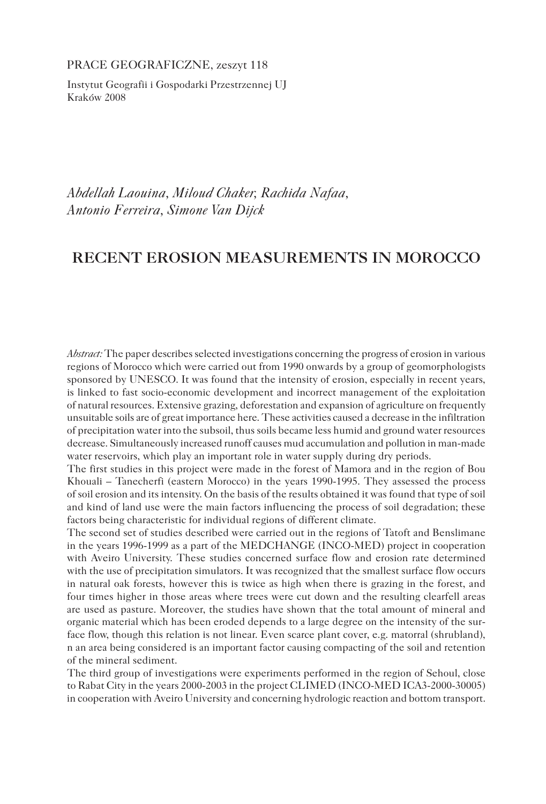PRACE GEOGRAFICZNE, zeszyt 118

Instytut Geografii i Gospodarki Przestrzennej UJ Kraków 2008

*Abdellah Laouina, Miloud Chaker, Rachida Nafaa, Antonio Ferreira, Simone Van Dijck* 

# **RECENT EROSION MEASUREMENTS IN MOROCCO**

*Abstract:* The paper describes selected investigations concerning the progress of erosion in various regions of Morocco which were carried out from 1990 onwards by a group of geomorphologists sponsored by UNESCO. It was found that the intensity of erosion, especially in recent years, is linked to fast socio-economic development and incorrect management of the exploitation of natural resources. Extensive grazing, deforestation and expansion of agriculture on frequently unsuitable soils are of great importance here. These activities caused a decrease in the infiltration of precipitation water into the subsoil, thus soils became less humid and ground water resources decrease. Simultaneously increased runoff causes mud accumulation and pollution in man-made water reservoirs, which play an important role in water supply during dry periods.

The first studies in this project were made in the forest of Mamora and in the region of Bou Khouali – Tanecherfi (eastern Morocco) in the years 1990-1995. They assessed the process of soil erosion and its intensity. On the basis of the results obtained it was found that type of soil and kind of land use were the main factors influencing the process of soil degradation; these factors being characteristic for individual regions of different climate.

The second set of studies described were carried out in the regions of Tatoft and Benslimane in the years 1996-1999 as a part of the MEDCHANGE (INCO-MED) project in cooperation with Aveiro University. These studies concerned surface flow and erosion rate determined with the use of precipitation simulators. It was recognized that the smallest surface flow occurs in natural oak forests, however this is twice as high when there is grazing in the forest, and four times higher in those areas where trees were cut down and the resulting clearfell areas are used as pasture. Moreover, the studies have shown that the total amount of mineral and organic material which has been eroded depends to a large degree on the intensity of the surface flow, though this relation is not linear. Even scarce plant cover, e.g. matorral (shrubland), n an area being considered is an important factor causing compacting of the soil and retention of the mineral sediment.

The third group of investigations were experiments performed in the region of Sehoul, close to Rabat City in the years 2000-2003 in the project CLIMED (INCO-MED ICA3-2000-30005) in cooperation with Aveiro University and concerning hydrologic reaction and bottom transport.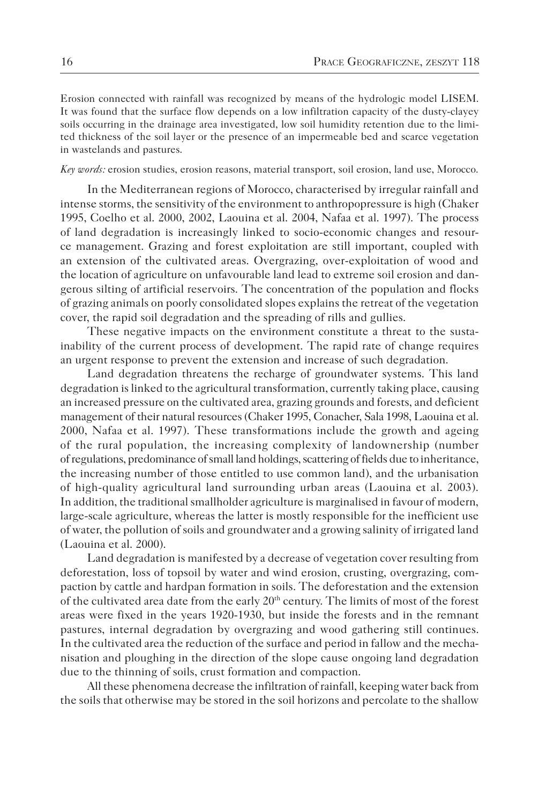Erosion connected with rainfall was recognized by means of the hydrologic model LISEM. It was found that the surface flow depends on a low infiltration capacity of the dusty-clayey soils occurring in the drainage area investigated, low soil humidity retention due to the limited thickness of the soil layer or the presence of an impermeable bed and scarce vegetation in wastelands and pastures.

*Key words:* erosion studies, erosion reasons, material transport, soil erosion, land use, Morocco.

In the Mediterranean regions of Morocco, characterised by irregular rainfall and intense storms, the sensitivity of the environment to anthropopressure is high (Chaker 1995, Coelho et al. 2000, 2002, Laouina et al. 2004, Nafaa et al. 1997). The process of land degradation is increasingly linked to socio-economic changes and resource management. Grazing and forest exploitation are still important, coupled with an extension of the cultivated areas. Overgrazing, over-exploitation of wood and the location of agriculture on unfavourable land lead to extreme soil erosion and dangerous silting of artificial reservoirs. The concentration of the population and flocks of grazing animals on poorly consolidated slopes explains the retreat of the vegetation cover, the rapid soil degradation and the spreading of rills and gullies.

These negative impacts on the environment constitute a threat to the sustainability of the current process of development. The rapid rate of change requires an urgent response to prevent the extension and increase of such degradation.

Land degradation threatens the recharge of groundwater systems. This land degradation is linked to the agricultural transformation, currently taking place, causing an increased pressure on the cultivated area, grazing grounds and forests, and deficient management of their natural resources (Chaker 1995, Conacher, Sala 1998, Laouina et al. 2000, Nafaa et al. 1997). These transformations include the growth and ageing of the rural population, the increasing complexity of landownership (number of regulations, predominance of small land holdings, scattering of fields due to inheritance, the increasing number of those entitled to use common land), and the urbanisation of high-quality agricultural land surrounding urban areas (Laouina et al. 2003). In addition, the traditional smallholder agriculture is marginalised in favour of modern, large-scale agriculture, whereas the latter is mostly responsible for the inefficient use of water, the pollution of soils and groundwater and a growing salinity of irrigated land (Laouina et al. 2000).

Land degradation is manifested by a decrease of vegetation cover resulting from deforestation, loss of topsoil by water and wind erosion, crusting, overgrazing, compaction by cattle and hardpan formation in soils. The deforestation and the extension of the cultivated area date from the early  $20<sup>th</sup>$  century. The limits of most of the forest areas were fixed in the years 1920-1930, but inside the forests and in the remnant pastures, internal degradation by overgrazing and wood gathering still continues. In the cultivated area the reduction of the surface and period in fallow and the mechanisation and ploughing in the direction of the slope cause ongoing land degradation due to the thinning of soils, crust formation and compaction.

All these phenomena decrease the infiltration of rainfall, keeping water back from the soils that otherwise may be stored in the soil horizons and percolate to the shallow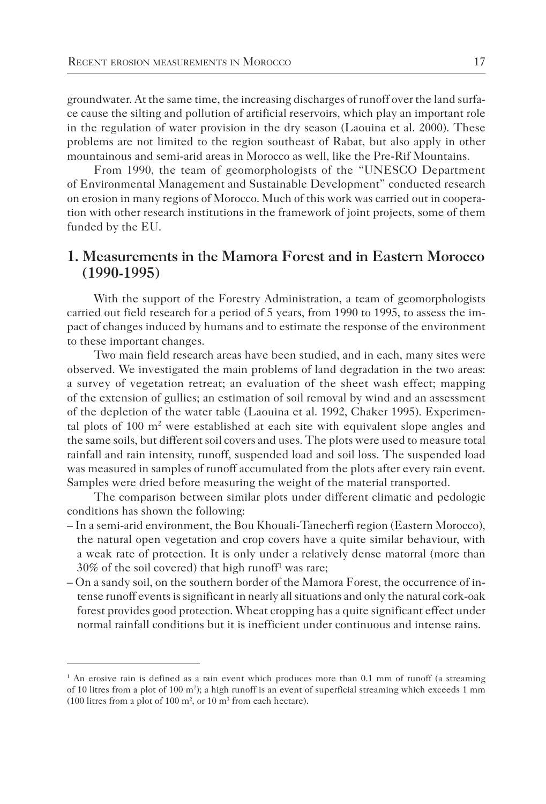groundwater. At the same time, the increasing discharges of runoff over the land surface cause the silting and pollution of artificial reservoirs, which play an important role in the regulation of water provision in the dry season (Laouina et al. 2000). These problems are not limited to the region southeast of Rabat, but also apply in other mountainous and semi-arid areas in Morocco as well, like the Pre-Rif Mountains.

From 1990, the team of geomorphologists of the "UNESCO Department of Environmental Management and Sustainable Development" conducted research on erosion in many regions of Morocco. Much of this work was carried out in cooperation with other research institutions in the framework of joint projects, some of them funded by the EU.

### **1. Measurements in the Mamora Forest and in Eastern Morocco (1990-1995)**

With the support of the Forestry Administration, a team of geomorphologists carried out field research for a period of 5 years, from 1990 to 1995, to assess the impact of changes induced by humans and to estimate the response of the environment to these important changes.

Two main field research areas have been studied, and in each, many sites were observed. We investigated the main problems of land degradation in the two areas: a survey of vegetation retreat; an evaluation of the sheet wash effect; mapping of the extension of gullies; an estimation of soil removal by wind and an assessment of the depletion of the water table (Laouina et al. 1992, Chaker 1995). Experimental plots of  $100 \text{ m}^2$  were established at each site with equivalent slope angles and the same soils, but different soil covers and uses. The plots were used to measure total rainfall and rain intensity, runoff, suspended load and soil loss. The suspended load was measured in samples of runoff accumulated from the plots after every rain event. Samples were dried before measuring the weight of the material transported.

The comparison between similar plots under different climatic and pedologic conditions has shown the following:

- In a semi-arid environment, the Bou Khouali-Tanecherfi region (Eastern Morocco), the natural open vegetation and crop covers have a quite similar behaviour, with a weak rate of protection. It is only under a relatively dense matorral (more than 30% of the soil covered) that high runoff1 was rare;
- On a sandy soil, on the southern border of the Mamora Forest, the occurrence of intense runoff events is significant in nearly all situations and only the natural cork-oak forest provides good protection. Wheat cropping has a quite significant effect under normal rainfall conditions but it is inefficient under continuous and intense rains.

<sup>&</sup>lt;sup>1</sup> An erosive rain is defined as a rain event which produces more than 0.1 mm of runoff (a streaming of 10 litres from a plot of 100 m<sup>2</sup>); a high runoff is an event of superficial streaming which exceeds 1 mm (100 litres from a plot of 100  $m^2$ , or 10  $m^3$  from each hectare).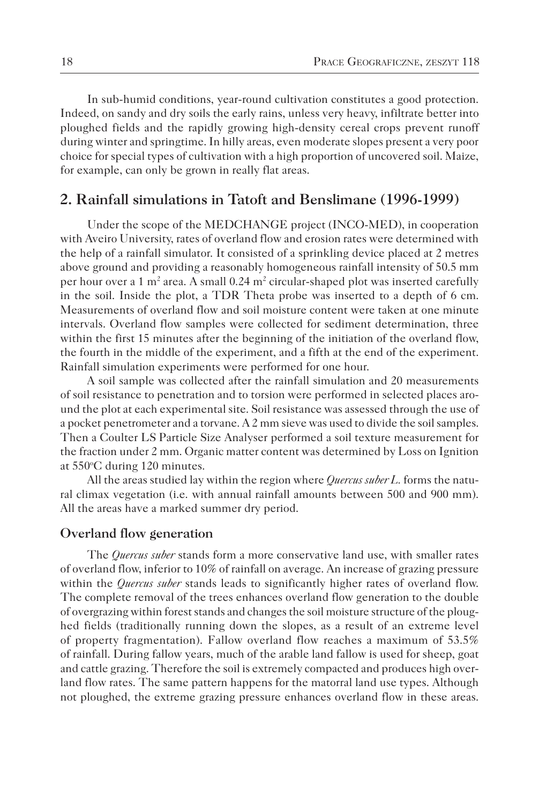In sub-humid conditions, year-round cultivation constitutes a good protection. Indeed, on sandy and dry soils the early rains, unless very heavy, infiltrate better into ploughed fields and the rapidly growing high-density cereal crops prevent runoff during winter and springtime. In hilly areas, even moderate slopes present a very poor choice for special types of cultivation with a high proportion of uncovered soil. Maize, for example, can only be grown in really flat areas.

### **2. Rainfall simulations in Tatoft and Benslimane (1996-1999)**

Under the scope of the MEDCHANGE project (INCO-MED), in cooperation with Aveiro University, rates of overland flow and erosion rates were determined with the help of a rainfall simulator. It consisted of a sprinkling device placed at 2 metres above ground and providing a reasonably homogeneous rainfall intensity of 50.5 mm per hour over a 1 m<sup>2</sup> area. A small  $0.24$  m<sup>2</sup> circular-shaped plot was inserted carefully in the soil. Inside the plot, a TDR Theta probe was inserted to a depth of 6 cm. Measurements of overland flow and soil moisture content were taken at one minute intervals. Overland flow samples were collected for sediment determination, three within the first 15 minutes after the beginning of the initiation of the overland flow, the fourth in the middle of the experiment, and a fifth at the end of the experiment. Rainfall simulation experiments were performed for one hour.

A soil sample was collected after the rainfall simulation and 20 measurements of soil resistance to penetration and to torsion were performed in selected places around the plot at each experimental site. Soil resistance was assessed through the use of a pocket penetrometer and a torvane. A 2 mm sieve was used to divide the soil samples. Then a Coulter LS Particle Size Analyser performed a soil texture measurement for the fraction under 2 mm. Organic matter content was determined by Loss on Ignition at 550°C during 120 minutes.

All the areas studied lay within the region where *Quercus suber L.* forms the natural climax vegetation (i.e. with annual rainfall amounts between 500 and 900 mm). All the areas have a marked summer dry period.

#### **Overland flow generation**

The *Quercus suber* stands form a more conservative land use, with smaller rates of overland flow, inferior to 10% of rainfall on average. An increase of grazing pressure within the *Quercus suber* stands leads to significantly higher rates of overland flow. The complete removal of the trees enhances overland flow generation to the double of overgrazing within forest stands and changes the soil moisture structure of the ploughed fields (traditionally running down the slopes, as a result of an extreme level of property fragmentation). Fallow overland flow reaches a maximum of 53.5% of rainfall. During fallow years, much of the arable land fallow is used for sheep, goat and cattle grazing. Therefore the soil is extremely compacted and produces high overland flow rates. The same pattern happens for the matorral land use types. Although not ploughed, the extreme grazing pressure enhances overland flow in these areas.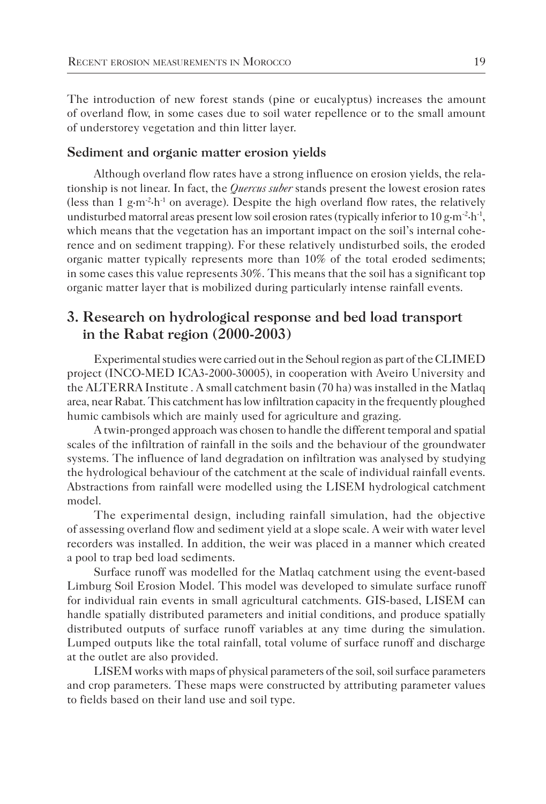The introduction of new forest stands (pine or eucalyptus) increases the amount of overland flow, in some cases due to soil water repellence or to the small amount of understorey vegetation and thin litter layer.

#### **Sediment and organic matter erosion yields**

Although overland flow rates have a strong influence on erosion yields, the relationship is not linear. In fact, the *Quercus suber* stands present the lowest erosion rates (less than 1  $g·m<sup>-2</sup>·h<sup>-1</sup>$  on average). Despite the high overland flow rates, the relatively undisturbed matorral areas present low soil erosion rates (typically inferior to 10 g·m<sup>-2</sup>·h<sup>-1</sup>, which means that the vegetation has an important impact on the soil's internal coherence and on sediment trapping). For these relatively undisturbed soils, the eroded organic matter typically represents more than 10% of the total eroded sediments; in some cases this value represents 30%. This means that the soil has a significant top organic matter layer that is mobilized during particularly intense rainfall events.

# **3. Research on hydrological response and bed load transport in the Rabat region (2000-2003)**

Experimental studies were carried out in the Sehoul region as part of the CLIMED project (INCO-MED ICA3-2000-30005), in cooperation with Aveiro University and the ALTERRA Institute . A small catchment basin (70 ha) was installed in the Matlaq area, near Rabat. This catchment has low infiltration capacity in the frequently ploughed humic cambisols which are mainly used for agriculture and grazing.

A twin-pronged approach was chosen to handle the different temporal and spatial scales of the infiltration of rainfall in the soils and the behaviour of the groundwater systems. The influence of land degradation on infiltration was analysed by studying the hydrological behaviour of the catchment at the scale of individual rainfall events. Abstractions from rainfall were modelled using the LISEM hydrological catchment model.

The experimental design, including rainfall simulation, had the objective of assessing overland flow and sediment yield at a slope scale. A weir with water level recorders was installed. In addition, the weir was placed in a manner which created a pool to trap bed load sediments.

Surface runoff was modelled for the Matlaq catchment using the event-based Limburg Soil Erosion Model. This model was developed to simulate surface runoff for individual rain events in small agricultural catchments. GIS-based, LISEM can handle spatially distributed parameters and initial conditions, and produce spatially distributed outputs of surface runoff variables at any time during the simulation. Lumped outputs like the total rainfall, total volume of surface runoff and discharge at the outlet are also provided.

LISEM works with maps of physical parameters of the soil, soil surface parameters and crop parameters. These maps were constructed by attributing parameter values to fields based on their land use and soil type.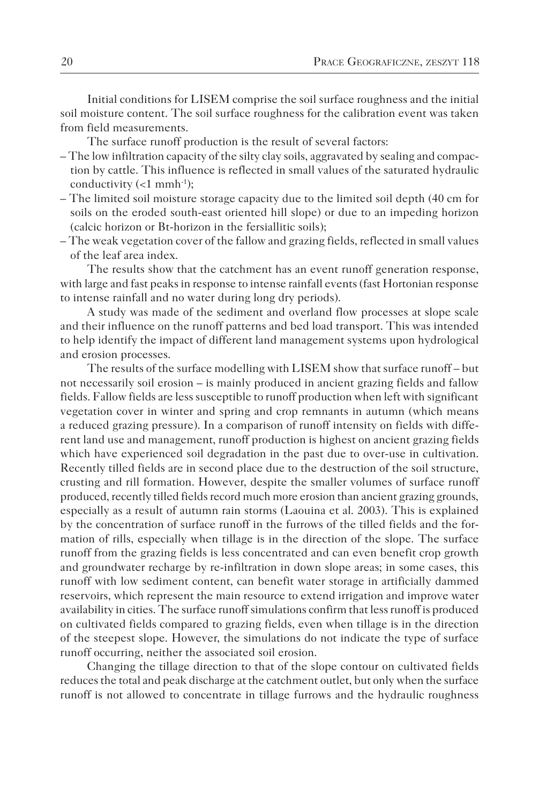Initial conditions for LISEM comprise the soil surface roughness and the initial soil moisture content. The soil surface roughness for the calibration event was taken from field measurements.

The surface runoff production is the result of several factors:

- The low infiltration capacity of the silty clay soils, aggravated by sealing and compaction by cattle. This influence is reflected in small values of the saturated hydraulic conductivity  $(<1$  mmh<sup>-1</sup>);
- The limited soil moisture storage capacity due to the limited soil depth (40 cm for soils on the eroded south-east oriented hill slope) or due to an impeding horizon (calcic horizon or Bt-horizon in the fersiallitic soils);
- The weak vegetation cover of the fallow and grazing fields, reflected in small values of the leaf area index.

The results show that the catchment has an event runoff generation response, with large and fast peaks in response to intense rainfall events (fast Hortonian response to intense rainfall and no water during long dry periods).

A study was made of the sediment and overland flow processes at slope scale and their influence on the runoff patterns and bed load transport. This was intended to help identify the impact of different land management systems upon hydrological and erosion processes.

The results of the surface modelling with LISEM show that surface runoff – but not necessarily soil erosion – is mainly produced in ancient grazing fields and fallow fields. Fallow fields are less susceptible to runoff production when left with significant vegetation cover in winter and spring and crop remnants in autumn (which means a reduced grazing pressure). In a comparison of runoff intensity on fields with different land use and management, runoff production is highest on ancient grazing fields which have experienced soil degradation in the past due to over-use in cultivation. Recently tilled fields are in second place due to the destruction of the soil structure, crusting and rill formation. However, despite the smaller volumes of surface runoff produced, recently tilled fields record much more erosion than ancient grazing grounds, especially as a result of autumn rain storms (Laouina et al. 2003). This is explained by the concentration of surface runoff in the furrows of the tilled fields and the formation of rills, especially when tillage is in the direction of the slope. The surface runoff from the grazing fields is less concentrated and can even benefit crop growth and groundwater recharge by re-infiltration in down slope areas; in some cases, this runoff with low sediment content, can benefit water storage in artificially dammed reservoirs, which represent the main resource to extend irrigation and improve water availability in cities. The surface runoff simulations confirm that less runoff is produced on cultivated fields compared to grazing fields, even when tillage is in the direction of the steepest slope. However, the simulations do not indicate the type of surface runoff occurring, neither the associated soil erosion.

Changing the tillage direction to that of the slope contour on cultivated fields reduces the total and peak discharge at the catchment outlet, but only when the surface runoff is not allowed to concentrate in tillage furrows and the hydraulic roughness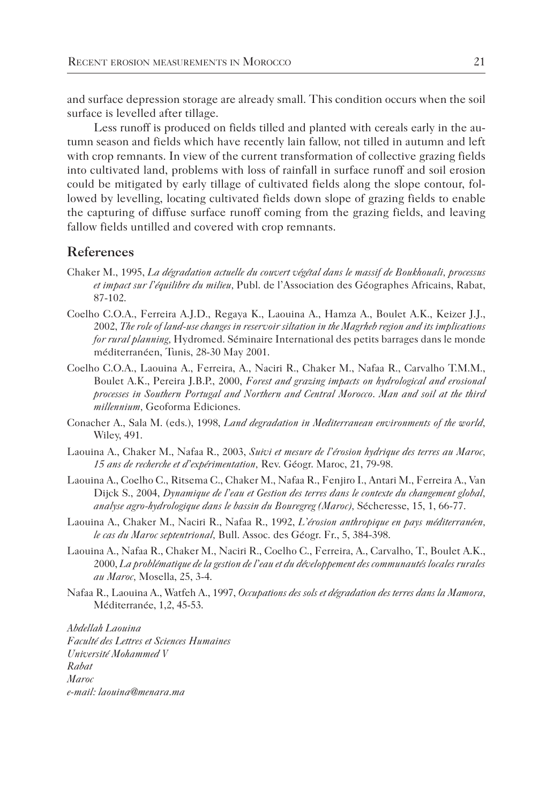and surface depression storage are already small. This condition occurs when the soil surface is levelled after tillage.

Less runoff is produced on fields tilled and planted with cereals early in the autumn season and fields which have recently lain fallow, not tilled in autumn and left with crop remnants. In view of the current transformation of collective grazing fields into cultivated land, problems with loss of rainfall in surface runoff and soil erosion could be mitigated by early tillage of cultivated fields along the slope contour, followed by levelling, locating cultivated fields down slope of grazing fields to enable the capturing of diffuse surface runoff coming from the grazing fields, and leaving fallow fields untilled and covered with crop remnants.

### **References**

- Chaker M., 1995, *La dégradation actuelle du couvert végétal dans le massif de Boukhouali, processus et impact sur l'équilibre du milieu,* Publ. de l'Association des Géographes Africains, Rabat, 87-102.
- Coelho C.O.A., Ferreira A.J.D., Regaya K., Laouina A., Hamza A., Boulet A.K., Keizer J.J., 2002, *The role of land-use changes in reservoir siltation in the Magrheb region and its implications for rural planning,* Hydromed. Séminaire International des petits barrages dans le monde méditerranéen, Tunis, 28-30 May 2001.
- Coelho C.O.A., Laouina A., Ferreira, A., Naciri R., Chaker M., Nafaa R., Carvalho T.M.M., Boulet A.K., Pereira J.B.P., 2000, *Forest and grazing impacts on hydrological and erosional processes in Southern Portugal and Northern and Central Morocco*. *Man and soil at the third millennium,* Geoforma Ediciones.
- Conacher A., Sala M. (eds.), 1998, *Land degradation in Mediterranean environments of the world,* Wiley, 491.
- Laouina A., Chaker M., Nafaa R., 2003, *Suivi et mesure de l'érosion hydrique des terres au Maroc, 15 ans de recherche et d'expérimentation,* Rev. Géogr. Maroc, 21, 79-98.
- Laouina A., Coelho C., Ritsema C., Chaker M., Nafaa R., Fenjiro I., Antari M., Ferreira A., Van Dijck S., 2004, *Dynamique de l'eau et Gestion des terres dans le contexte du changement global, analyse agro-hydrologique dans le bassin du Bouregreg (Maroc),* Sécheresse, 15, 1, 66-77.
- Laouina A., Chaker M., Naciri R., Nafaa R., 1992, *L'érosion anthropique en pays méditerranéen, le cas du Maroc septentrional,* Bull. Assoc. des Géogr. Fr., 5, 384-398.
- Laouina A., Nafaa R., Chaker M., Naciri R., Coelho C., Ferreira, A., Carvalho, T., Boulet A.K., 2000, *La problématique de la gestion de l'eau et du développement des communautés locales rurales au Maroc,* Mosella, 25, 3-4.
- Nafaa R., Laouina A., Watfeh A., 1997, *Occupations des sols et dégradation des terres dans la Mamora,*  Méditerranée, 1,2, 45-53.

*Abdellah Laouina Faculté des Lettres et Sciences Humaines Université Mohammed V Rabat Maroc e-mail: laouina@menara.ma*